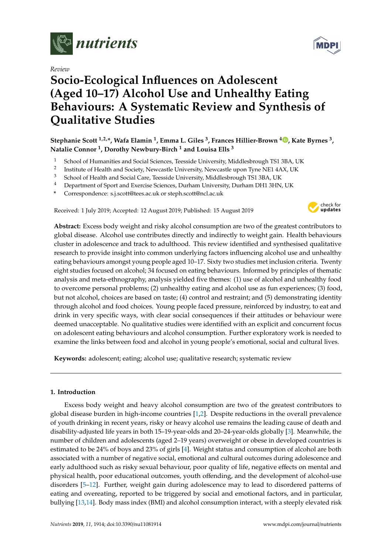

*Review*

# **Socio-Ecological Influences on Adolescent (Aged 10–17) Alcohol Use and Unhealthy Eating Behaviours: A Systematic Review and Synthesis of Qualitative Studies**



## **Stephanie Scott 1,2,\*, Wafa Elamin <sup>1</sup> , Emma L. Giles <sup>3</sup> , Frances Hillier-Brown <sup>4</sup> [,](https://orcid.org/0000-0001-9031-4801) Kate Byrnes <sup>3</sup> , Natalie Connor <sup>1</sup> , Dorothy Newbury-Birch <sup>1</sup> and Louisa Ells <sup>3</sup>**

- <sup>1</sup> School of Humanities and Social Sciences, Teesside University, Middlesbrough TS1 3BA, UK
- 2 Institute of Health and Society, Newcastle University, Newcastle upon Tyne NE1 4AX, UK
- <sup>3</sup> School of Health and Social Care, Teesside University, Middlesbrough TS1 3BA, UK
- <sup>4</sup> Department of Sport and Exercise Sciences, Durham University, Durham DH1 3HN, UK
- **\*** Correspondence: s.j.scott@tees.ac.uk or steph.scott@ncl.ac.uk

Received: 1 July 2019; Accepted: 12 August 2019; Published: 15 August 2019



**Abstract:** Excess body weight and risky alcohol consumption are two of the greatest contributors to global disease. Alcohol use contributes directly and indirectly to weight gain. Health behaviours cluster in adolescence and track to adulthood. This review identified and synthesised qualitative research to provide insight into common underlying factors influencing alcohol use and unhealthy eating behaviours amongst young people aged 10–17. Sixty two studies met inclusion criteria. Twenty eight studies focused on alcohol; 34 focused on eating behaviours. Informed by principles of thematic analysis and meta-ethnography, analysis yielded five themes: (1) use of alcohol and unhealthy food to overcome personal problems; (2) unhealthy eating and alcohol use as fun experiences; (3) food, but not alcohol, choices are based on taste; (4) control and restraint; and (5) demonstrating identity through alcohol and food choices. Young people faced pressure, reinforced by industry, to eat and drink in very specific ways, with clear social consequences if their attitudes or behaviour were deemed unacceptable. No qualitative studies were identified with an explicit and concurrent focus on adolescent eating behaviours and alcohol consumption. Further exploratory work is needed to examine the links between food and alcohol in young people's emotional, social and cultural lives.

**Keywords:** adolescent; eating; alcohol use; qualitative research; systematic review

#### **1. Introduction**

Excess body weight and heavy alcohol consumption are two of the greatest contributors to global disease burden in high-income countries [\[1](#page-12-0)[,2\]](#page-12-1). Despite reductions in the overall prevalence of youth drinking in recent years, risky or heavy alcohol use remains the leading cause of death and disability-adjusted life years in both 15–19-year-olds and 20–24-year-olds globally [\[3\]](#page-12-2). Meanwhile, the number of children and adolescents (aged 2–19 years) overweight or obese in developed countries is estimated to be 24% of boys and 23% of girls [\[4\]](#page-12-3). Weight status and consumption of alcohol are both associated with a number of negative social, emotional and cultural outcomes during adolescence and early adulthood such as risky sexual behaviour, poor quality of life, negative effects on mental and physical health, poor educational outcomes, youth offending, and the development of alcohol-use disorders [\[5–](#page-12-4)[12\]](#page-13-0). Further, weight gain during adolescence may to lead to disordered patterns of eating and overeating, reported to be triggered by social and emotional factors, and in particular, bullying [\[13](#page-13-1)[,14\]](#page-13-2). Body mass index (BMI) and alcohol consumption interact, with a steeply elevated risk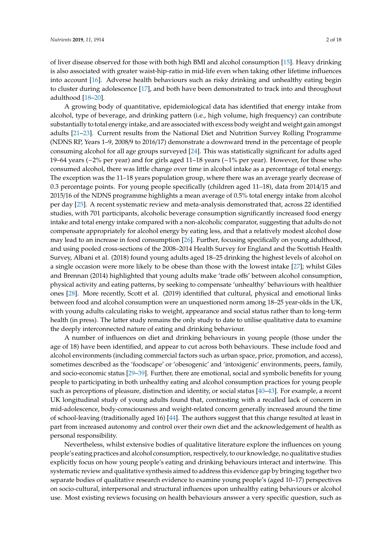of liver disease observed for those with both high BMI and alcohol consumption [\[15\]](#page-13-3). Heavy drinking is also associated with greater waist-hip-ratio in mid-life even when taking other lifetime influences into account [\[16\]](#page-13-4). Adverse health behaviours such as risky drinking and unhealthy eating begin to cluster during adolescence [\[17\]](#page-13-5), and both have been demonstrated to track into and throughout adulthood [\[18](#page-13-6)[–20\]](#page-13-7).

A growing body of quantitative, epidemiological data has identified that energy intake from alcohol, type of beverage, and drinking pattern (i.e., high volume, high frequency) can contribute substantially to total energy intake, and are associated with excess body weight and weight gain amongst adults [\[21](#page-13-8)[–23\]](#page-13-9). Current results from the National Diet and Nutrition Survey Rolling Programme (NDNS RP, Years 1–9, 2008/9 to 2016/17) demonstrate a downward trend in the percentage of people consuming alcohol for all age groups surveyed [\[24\]](#page-13-10). This was statistically significant for adults aged 19–64 years (−2% per year) and for girls aged 11–18 years (−1% per year). However, for those who consumed alcohol, there was little change over time in alcohol intake as a percentage of total energy. The exception was the 11–18 years population group, where there was an average yearly decrease of 0.3 percentage points. For young people specifically (children aged 11–18), data from 2014/15 and 2015/16 of the NDNS programme highlights a mean average of 0.5% total energy intake from alcohol per day [\[25\]](#page-13-11). A recent systematic review and meta-analysis demonstrated that, across 22 identified studies, with 701 participants, alcoholic beverage consumption significantly increased food energy intake and total energy intake compared with a non-alcoholic comparator, suggesting that adults do not compensate appropriately for alcohol energy by eating less, and that a relatively modest alcohol dose may lead to an increase in food consumption [\[26\]](#page-13-12). Further, focusing specifically on young adulthood, and using pooled cross-sections of the 2008–2014 Health Survey for England and the Scottish Health Survey, Albani et al. (2018) found young adults aged 18–25 drinking the highest levels of alcohol on a single occasion were more likely to be obese than those with the lowest intake [\[27\]](#page-13-13); whilst Giles and Brennan (2014) highlighted that young adults make 'trade offs' between alcohol consumption, physical activity and eating patterns, by seeking to compensate 'unhealthy' behaviours with healthier ones [\[28\]](#page-13-14). More recently, Scott et al. (2019) identified that cultural, physical and emotional links between food and alcohol consumption were an unquestioned norm among 18–25 year-olds in the UK, with young adults calculating risks to weight, appearance and social status rather than to long-term health (in press). The latter study remains the only study to date to utilise qualitative data to examine the deeply interconnected nature of eating and drinking behaviour.

A number of influences on diet and drinking behaviours in young people (those under the age of 18) have been identified, and appear to cut across both behaviours. These include food and alcohol environments (including commercial factors such as urban space, price, promotion, and access), sometimes described as the 'foodscape' or 'obesogenic' and 'intoxigenic' environments, peers, family, and socio-economic status [\[29–](#page-13-15)[39\]](#page-14-0). Further, there are emotional, social and symbolic benefits for young people to participating in both unhealthy eating and alcohol consumption practices for young people such as perceptions of pleasure, distinction and identity, or social status [\[40](#page-14-1)[–43\]](#page-14-2). For example, a recent UK longitudinal study of young adults found that, contrasting with a recalled lack of concern in mid-adolescence, body-consciousness and weight-related concern generally increased around the time of school-leaving (traditionally aged 16) [\[44\]](#page-14-3). The authors suggest that this change resulted at least in part from increased autonomy and control over their own diet and the acknowledgement of health as personal responsibility.

Nevertheless, whilst extensive bodies of qualitative literature explore the influences on young people's eating practices and alcohol consumption, respectively, to our knowledge, no qualitative studies explicitly focus on how young people's eating and drinking behaviours interact and intertwine. This systematic review and qualitative synthesis aimed to address this evidence gap by bringing together two separate bodies of qualitative research evidence to examine young people's (aged 10–17) perspectives on socio-cultural, interpersonal and structural influences upon unhealthy eating behaviours or alcohol use. Most existing reviews focusing on health behaviours answer a very specific question, such as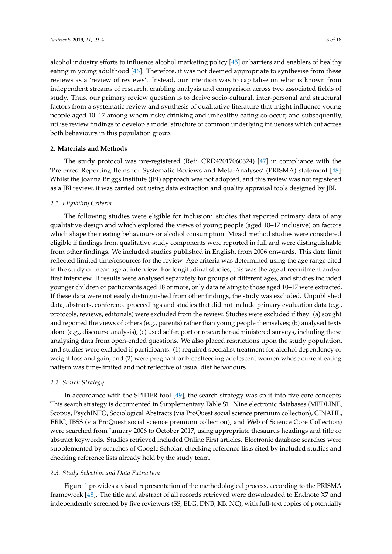alcohol industry efforts to influence alcohol marketing policy [\[45\]](#page-14-4) or barriers and enablers of healthy eating in young adulthood [\[46\]](#page-14-5). Therefore, it was not deemed appropriate to synthesise from these reviews as a 'review of reviews'. Instead, our intention was to capitalise on what is known from independent streams of research, enabling analysis and comparison across two associated fields of study. Thus, our primary review question is to derive socio-cultural, inter-personal and structural factors from a systematic review and synthesis of qualitative literature that might influence young people aged 10–17 among whom risky drinking and unhealthy eating co-occur, and subsequently, utilise review findings to develop a model structure of common underlying influences which cut across both behaviours in this population group.

#### **2. Materials and Methods**

The study protocol was pre-registered (Ref: CRD42017060624) [\[47\]](#page-14-6) in compliance with the 'Preferred Reporting Items for Systematic Reviews and Meta-Analyses' (PRISMA) statement [\[48\]](#page-14-7). Whilst the Joanna Briggs Institute (JBI) approach was not adopted, and this review was not registered as a JBI review, it was carried out using data extraction and quality appraisal tools designed by JBI.

#### *2.1. Eligibility Criteria*

The following studies were eligible for inclusion: studies that reported primary data of any qualitative design and which explored the views of young people (aged 10–17 inclusive) on factors which shape their eating behaviours or alcohol consumption. Mixed method studies were considered eligible if findings from qualitative study components were reported in full and were distinguishable from other findings. We included studies published in English, from 2006 onwards. This date limit reflected limited time/resources for the review. Age criteria was determined using the age range cited in the study or mean age at interview. For longitudinal studies, this was the age at recruitment and/or first interview. If results were analysed separately for groups of different ages, and studies included younger children or participants aged 18 or more, only data relating to those aged 10–17 were extracted. If these data were not easily distinguished from other findings, the study was excluded. Unpublished data, abstracts, conference proceedings and studies that did not include primary evaluation data (e.g., protocols, reviews, editorials) were excluded from the review. Studies were excluded if they: (a) sought and reported the views of others (e.g., parents) rather than young people themselves; (b) analysed texts alone (e.g., discourse analysis); (c) used self-report or researcher-administered surveys, including those analysing data from open-ended questions. We also placed restrictions upon the study population, and studies were excluded if participants: (1) required specialist treatment for alcohol dependency or weight loss and gain; and (2) were pregnant or breastfeeding adolescent women whose current eating pattern was time-limited and not reflective of usual diet behaviours.

#### *2.2. Search Strategy*

In accordance with the SPIDER tool [\[49\]](#page-14-8), the search strategy was split into five core concepts. This search strategy is documented in Supplementary Table S1. Nine electronic databases (MEDLINE, Scopus, PsychINFO, Sociological Abstracts (via ProQuest social science premium collection), CINAHL, ERIC, IBSS (via ProQuest social science premium collection), and Web of Science Core Collection) were searched from January 2006 to October 2017, using appropriate thesaurus headings and title or abstract keywords. Studies retrieved included Online First articles. Electronic database searches were supplemented by searches of Google Scholar, checking reference lists cited by included studies and checking reference lists already held by the study team.

#### *2.3. Study Selection and Data Extraction*

Figure [1](#page-3-0) provides a visual representation of the methodological process, according to the PRISMA framework [\[48\]](#page-14-7). The title and abstract of all records retrieved were downloaded to Endnote X7 and independently screened by five reviewers (SS, ELG, DNB, KB, NC), with full-text copies of potentially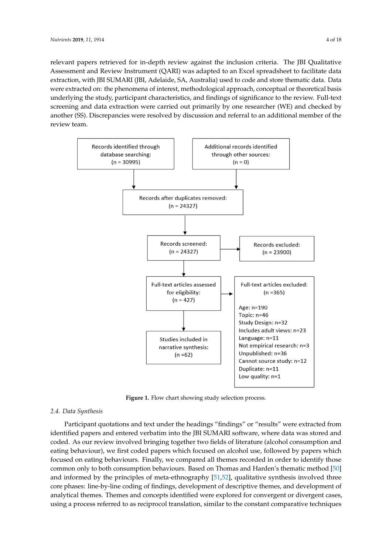relevant papers retrieved for in-depth review against the inclusion criteria. The JBI Qualitative Assessment and Review Instrument (QARI) was adapted to an Excel spreadsheet to facilitate data extraction, with JBI SUMARI (JBI, Adelaide, SA, Australia) used to code and store thematic data. Data were extracted on: the phenomena of interest, methodological approach, conceptual or theoretical basis underlying the study, participant characteristics, and findings of significance to the review. Full-text screening and data extraction were carried out primarily by one researcher (WE) and checked by another (SS). Discrepancies were resolved by discussion and referral to an additional member of the review team.

<span id="page-3-0"></span>

**Figure 1.** Flow chart showing study selection process*.*  **Figure 1.** Flow chart showing study selection process.

# *2.4. Data Synthesis 2.4. Data Synthesis*

Participant quotations and text under the headings "findings" or "results" were extracted from identified papers and entered verbatim into the JBI SUMARI software, where data was stored and identified papers and entered verbatim into the JBI SUMARI software, where data was stored and coded. As our review involved bringing together two fields of literature (alcohol consumption and eating behaviour), we first coded papers which focused on alcohol use, followed by papers which eating behaviour), we first coded papers which focused on alcohol use, followed by papers which eating behaviour), we first coded papers which focused on alcohol use, followed by papers which focused on eating behaviours. Finally, we compared all themes recorded in order to identify those focused on eating behaviours. Finally, we compared all themes recorded in order to identify those common only to both consumption behaviours. Based on Thomas and Harden's thematic method [\[50\]](#page-14-9) common only to both consumption behaviours. Based on Thomas and Harden's thematic method and informed by the principles of meta-ethnography [\[51,](#page-14-10)[52\]](#page-15-0), qualitative synthesis involved three [50] and informed by the principles of meta-ethnography [51,52], qualitative synthesis involved three core phases: line-by-line coding of findings, development of descriptive themes, and development of core phases: line-by-line coding of findings, development of descriptive themes, and development of analytical themes. Themes and concepts identified were explored for convergent or divergent cases, analytical themes. Themes and concepts identified were explored for convergent or divergent cases, using a process referred to as reciprocol translation, similar to the constant comparative techniques using a process referred to as reciprocol translation, similar to the constant comparative techniquesParticipant quotations and text under the headings "findings" or "results" were extracted from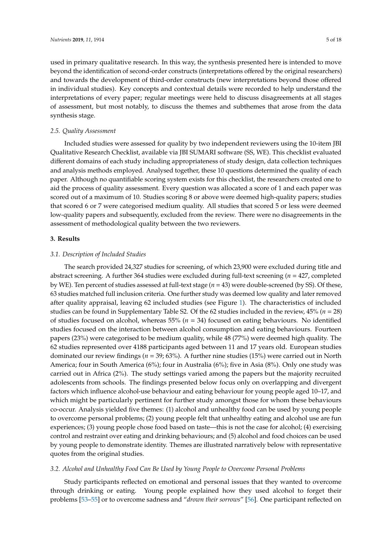used in primary qualitative research. In this way, the synthesis presented here is intended to move beyond the identification of second-order constructs (interpretations offered by the original researchers) and towards the development of third-order constructs (new interpretations beyond those offered in individual studies). Key concepts and contextual details were recorded to help understand the interpretations of every paper; regular meetings were held to discuss disagreements at all stages of assessment, but most notably, to discuss the themes and subthemes that arose from the data synthesis stage.

#### *2.5. Quality Assessment*

Included studies were assessed for quality by two independent reviewers using the 10-item JBI Qualitative Research Checklist, available via JBI SUMARI software (SS, WE). This checklist evaluated different domains of each study including appropriateness of study design, data collection techniques and analysis methods employed. Analysed together, these 10 questions determined the quality of each paper. Although no quantifiable scoring system exists for this checklist, the researchers created one to aid the process of quality assessment. Every question was allocated a score of 1 and each paper was scored out of a maximum of 10. Studies scoring 8 or above were deemed high-quality papers; studies that scored 6 or 7 were categorised medium quality. All studies that scored 5 or less were deemed low-quality papers and subsequently, excluded from the review. There were no disagreements in the assessment of methodological quality between the two reviewers.

#### **3. Results**

#### *3.1. Description of Included Studies*

The search provided 24,327 studies for screening, of which 23,900 were excluded during title and abstract screening. A further 364 studies were excluded during full-text screening (*n* = 427, completed by WE). Ten percent of studies assessed at full-text stage (*n* = 43) were double-screened (by SS). Of these, 63 studies matched full inclusion criteria. One further study was deemed low quality and later removed after quality appraisal, leaving 62 included studies (see Figure [1\)](#page-3-0). The characteristics of included studies can be found in Supplementary Table S2. Of the 62 studies included in the review, 45% (*n* = 28) of studies focused on alcohol, whereas 55% (*n* = 34) focused on eating behaviours. No identified studies focused on the interaction between alcohol consumption and eating behaviours. Fourteen papers (23%) were categorised to be medium quality, while 48 (77%) were deemed high quality. The 62 studies represented over 4188 participants aged between 11 and 17 years old. European studies dominated our review findings (*n* = 39; 63%). A further nine studies (15%) were carried out in North America; four in South America (6%); four in Australia (6%); five in Asia (8%). Only one study was carried out in Africa (2%). The study settings varied among the papers but the majority recruited adolescents from schools. The findings presented below focus only on overlapping and divergent factors which influence alcohol-use behaviour and eating behaviour for young people aged 10–17, and which might be particularly pertinent for further study amongst those for whom these behaviours co-occur. Analysis yielded five themes: (1) alcohol and unhealthy food can be used by young people to overcome personal problems; (2) young people felt that unhealthy eating and alcohol use are fun experiences; (3) young people chose food based on taste—this is not the case for alcohol; (4) exercising control and restraint over eating and drinking behaviours; and (5) alcohol and food choices can be used by young people to demonstrate identity. Themes are illustrated narratively below with representative quotes from the original studies.

### *3.2. Alcohol and Unhealthy Food Can Be Used by Young People to Overcome Personal Problems*

Study participants reflected on emotional and personal issues that they wanted to overcome through drinking or eating. Young people explained how they used alcohol to forget their problems [\[53](#page-15-1)[–55\]](#page-15-2) or to overcome sadness and "*drown their sorrows*" [\[56\]](#page-15-3). One participant reflected on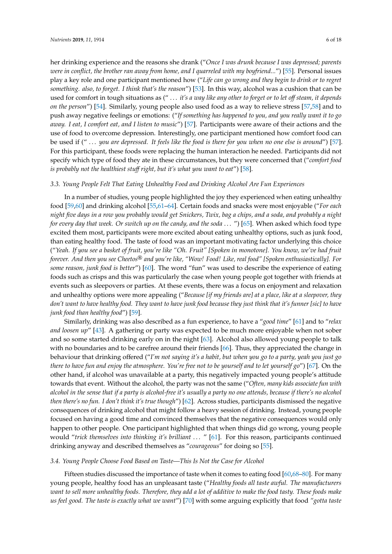her drinking experience and the reasons she drank ("*Once I was drunk because I was depressed; parents were in conflict, the brother ran away from home, and I quarreled with my boyfriend...*") [\[55\]](#page-15-2). Personal issues play a key role and one participant mentioned how ("*Life can go wrong and they begin to drink or to regret something. also, to forget. I think that's the reason*") [\[53\]](#page-15-1). In this way, alcohol was a cushion that can be used for comfort in tough situations as (" . . . *it's a way like any other to forget or to let o*ff *steam, it depends on the person*") [\[54\]](#page-15-4). Similarly, young people also used food as a way to relieve stress [\[57](#page-15-5)[,58\]](#page-15-6) and to push away negative feelings or emotions: ("*If something has happened to you, and you really want it to go away. I eat, I comfort eat, and I listen to music*") [\[57\]](#page-15-5). Participants were aware of their actions and the use of food to overcome depression. Interestingly, one participant mentioned how comfort food can be used if (" . . . *you are depressed. It feels like the food is there for you when no one else is around*") [\[57\]](#page-15-5). For this participant, these foods were replacing the human interaction he needed. Participants did not specify which type of food they ate in these circumstances, but they were concerned that ("*comfort food is probably not the healthiest stu*ff *right, but it's what you want to eat*") [\[58\]](#page-15-6).

#### *3.3. Young People Felt That Eating Unhealthy Food and Drinking Alcohol Are Fun Experiences*

In a number of studies, young people highlighted the joy they experienced when eating unhealthy food [\[59](#page-15-7)[,60\]](#page-15-8) and drinking alcohol [\[55,](#page-15-2)[61–](#page-15-9)[64\]](#page-15-10). Certain foods and snacks were most enjoyable ("*For each night five days in a row you probably would get Snickers, Twix, bag a chips, and a soda, and probably a night for every day that week. Or switch up on the candy, and the soda* ... ") [\[65\]](#page-15-11). When asked which food type excited them most, participants were more excited about eating unhealthy options, such as junk food, than eating healthy food. The taste of food was an important motivating factor underlying this choice ("*Yeah. If you see a basket of fruit, you're like "Oh. Fruit" [Spoken in monotone]. You know, we've had fruit forever. And then you see Cheetos*® *and you're like, "Wow! Food! Like, real food" [Spoken enthusiastically]. For some reason, junk food is better*") [\[60\]](#page-15-8). The word "fun" was used to describe the experience of eating foods such as crisps and this was particularly the case when young people got together with friends at events such as sleepovers or parties. At these events, there was a focus on enjoyment and relaxation and unhealthy options were more appealing ("*Because [if my friends are] at a place, like at a sleepover, they don't want to have healthy food. They want to have junk food because they just think that it's funner [sic] to have junk food than healthy food*") [\[59\]](#page-15-7).

Similarly, drinking was also described as a fun experience, to have a "*good time*" [\[61\]](#page-15-9) and to "*relax and loosen up*" [\[43\]](#page-14-2). A gathering or party was expected to be much more enjoyable when not sober and so some started drinking early on in the night [\[63\]](#page-15-12). Alcohol also allowed young people to talk with no boundaries and to be carefree around their friends [\[66\]](#page-15-13). Thus, they appreciated the change in behaviour that drinking offered ("*I'm not saying it's a habit, but when you go to a party, yeah you just go there to have fun and enjoy the atmosphere. You're free not to be yourself and to let yourself go*") [\[67\]](#page-15-14). On the other hand, if alcohol was unavailable at a party, this negatively impacted young people's attitude towards that event. Without the alcohol, the party was not the same ("*Often, many kids associate fun with alcohol in the sense that if a party is alcohol-free it's usually a party no one attends, because if there's no alcohol then there's no fun. I don't think it's true though*") [\[62\]](#page-15-15). Across studies, participants dismissed the negative consequences of drinking alcohol that might follow a heavy session of drinking. Instead, young people focused on having a good time and convinced themselves that the negative consequences would only happen to other people. One participant highlighted that when things did go wrong, young people would "*trick themselves into thinking it's brilliant* ... " [\[61\]](#page-15-9). For this reason, participants continued drinking anyway and described themselves as "*courageous*" for doing so [\[55\]](#page-15-2).

#### *3.4. Young People Choose Food Based on Taste—This Is Not the Case for Alcohol*

Fifteen studies discussed the importance of taste when it comes to eating food [\[60](#page-15-8)[,68](#page-15-16)[–80\]](#page-16-0). For many young people, healthy food has an unpleasant taste ("*Healthy foods all taste awful. The manufacturers want to sell more unhealthy foods. Therefore, they add a lot of additive to make the food tasty. These foods make us feel good. The taste is exactly what we want*") [\[70\]](#page-15-17) with some arguing explicitly that food *"gotta taste*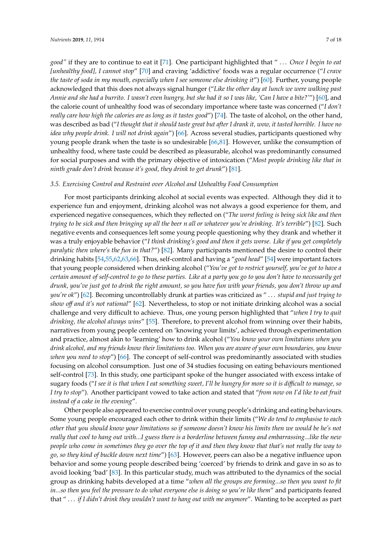*good"* if they are to continue to eat it [\[71\]](#page-15-18). One participant highlighted that " . . . *Once I begin to eat [unhealthy food], I cannot stop*" [\[70\]](#page-15-17) and craving 'addictive' foods was a regular occurrence ("*I crave the taste of soda in my mouth, especially when I see someone else drinking it*") [\[60\]](#page-15-8). Further, young people acknowledged that this does not always signal hunger ("*Like the other day at lunch we were walking past Annie and she had a burrito. I wasn't even hungry, but she had it so I was like, 'Can I have a bite?'*") [\[60\]](#page-15-8), and the calorie count of unhealthy food was of secondary importance where taste was concerned ("*I don't really care how high the calories are as long as it tastes good*") [\[74\]](#page-15-19). The taste of alcohol, on the other hand, was described as bad ("*I thought that it should taste great but after I drank it, wow, it tasted horrible. I have no idea why people drink. I will not drink again*") [\[66\]](#page-15-13). Across several studies, participants questioned why young people drank when the taste is so undesirable [\[66,](#page-15-13)[81\]](#page-16-1). However, unlike the consumption of unhealthy food, where taste could be described as pleasurable, alcohol was predominantly consumed for social purposes and with the primary objective of intoxication ("*Most people drinking like that in ninth grade don't drink because it's good, they drink to get drunk*") [\[81\]](#page-16-1).

#### *3.5. Exercising Control and Restraint over Alcohol and Unhealthy Food Consumption*

For most participants drinking alcohol at social events was expected. Although they did it to experience fun and enjoyment, drinking alcohol was not always a good experience for them, and experienced negative consequences, which they reflected on ("*The worst feeling is being sick like and then trying to be sick and then bringing up all the beer n all or whatever you're drinking. It's terrible*") [\[82\]](#page-16-2). Such negative events and consequences left some young people questioning why they drank and whether it was a truly enjoyable behavior ("*I think drinking's good and then it gets worse. Like if you get completely paralytic then where's the fun in that?*") [\[82\]](#page-16-2). Many participants mentioned the desire to control their drinking habits [\[54](#page-15-4)[,55](#page-15-2)[,62,](#page-15-15)[63,](#page-15-12)[66\]](#page-15-13). Thus, self-control and having a "*good head*" [\[54\]](#page-15-4) were important factors that young people considered when drinking alcohol ("*You've got to restrict yourself, you've got to have a certain amount of self-control to go to these parties. Like at a party you go to you don't have to necessarily get drunk, you've just got to drink the right amount, so you have fun with your friends, you don't throw up and you're ok*") [\[62\]](#page-15-15). Becoming uncontrollably drunk at parties was criticized as " . . . *stupid and just trying to show o*ff *and it's not rational*" [\[62\]](#page-15-15). Nevertheless, to stop or not initiate drinking alcohol was a social challenge and very difficult to achieve. Thus, one young person highlighted that "*when I try to quit drinking, the alcohol always wins*" [\[55\]](#page-15-2). Therefore, to prevent alcohol from winning over their habits, narratives from young people centered on 'knowing your limits', achieved through experimentation and practice, almost akin to 'learning' how to drink alcohol ("*You know your own limitations when you drink alcohol, and my friends know their limitations too. When you are aware of your own boundaries, you know when you need to stop*") [\[66\]](#page-15-13). The concept of self-control was predominantly associated with studies focusing on alcohol consumption. Just one of 34 studies focusing on eating behaviours mentioned self-control [\[73\]](#page-15-20). In this study, one participant spoke of the hunger associated with excess intake of sugary foods ("*I see it is that when I eat something sweet, I'll be hungry for more so it is di*ffi*cult to manage, so I try to stop*"). Another participant vowed to take action and stated that "*from now on I'd like to eat fruit instead of a cake in the evening*".

Other people also appeared to exercise control over young people's drinking and eating behaviours. Some young people encouraged each other to drink within their limits ("*We do tend to emphasise to each other that you should know your limitations so if someone doesn't know his limits then we would be he's not really that cool to hang out with...I guess there is a borderline between funny and embarrassing...like the new people who come in sometimes they go over the top of it and then they know that that's not really the way to go, so they kind of buckle down next time*") [\[63\]](#page-15-12). However, peers can also be a negative influence upon behavior and some young people described being 'coerced' by friends to drink and gave in so as to avoid looking 'bad' [\[83\]](#page-16-3). In this particular study, much was attributed to the dynamics of the social group as drinking habits developed at a time "*when all the groups are forming...so then you want to fit in...so then you feel the pressure to do what everyone else is doing so you're like them*" and participants feared that " . . . *if I didn't drink they wouldn't want to hang out with me anymore*". Wanting to be accepted as part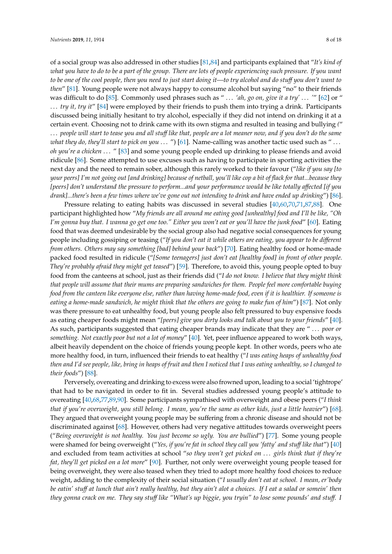of a social group was also addressed in other studies [\[81,](#page-16-1)[84\]](#page-16-4) and participants explained that "*It's kind of what you have to do to be a part of the group. There are lots of people experiencing such pressure. If you want to be one of the cool people, then you need to just start doing it—to try alcohol and do stu*ff *you don't want to then*" [\[81\]](#page-16-1). Young people were not always happy to consume alcohol but saying "no" to their friends was difficult to do [\[85\]](#page-16-5). Commonly used phrases such as " ... 'ah, go on, give it a try' ... "" [\[62\]](#page-15-15) or " . . . *try it, try it*" [\[84\]](#page-16-4) were employed by their friends to push them into trying a drink. Participants discussed being initially hesitant to try alcohol, especially if they did not intend on drinking it at a certain event. Choosing not to drink came with its own stigma and resulted in teasing and bullying *(*" . . . *people will start to tease you and all stu*ff *like that, people are a lot meaner now, and if you don't do the same what they do, they'll start to pick on you* ... ") [\[61\]](#page-15-9). Name-calling was another tactic used such as "... *oh you're a chicken* . . . " [\[83\]](#page-16-3) and some young people ended up drinking to please friends and avoid ridicule [\[86\]](#page-16-6). Some attempted to use excuses such as having to participate in sporting activities the next day and the need to remain sober, although this rarely worked to their favour ("*like if you say [to your peers] I'm not going out [and drinking] because of netball, you'll like cop a bit of flack for that...because they [peers] don't understand the pressure to perform...and your performance would be like totally a*ff*ected [if you drank]...there's been a few times where we've gone out not intending to drink and have ended up drinking*") [\[86\]](#page-16-6).

Pressure relating to eating habits was discussed in several studies [\[40](#page-14-1)[,60](#page-15-8)[,70](#page-15-17)[,71](#page-15-18)[,87](#page-16-7)[,88\]](#page-16-8). One participant highlighted how "*My friends are all around me eating good [unhealthy] food and I'll be like, "Oh I'm gonna buy that. I wanna go get one too." Either you won't eat or you'll have the junk food*" [\[60\]](#page-15-8). Eating food that was deemed undesirable by the social group also had negative social consequences for young people including gossiping or teasing ("*If you don't eat it while others are eating, you appear to be di*ff*erent from others. Others may say something [bad] behind your back*") [\[70\]](#page-15-17). Eating healthy food or home-made packed food resulted in ridicule ("*[Some teenagers] just don't eat [healthy food] in front of other people. They're probably afraid they might get teased*") [\[59\]](#page-15-7). Therefore, to avoid this, young people opted to buy food from the canteens at school, just as their friends did ("*I do not know. I believe that they might think that people will assume that their mums are preparing sandwiches for them. People feel more comfortable buying food from the canteen like everyone else, rather than having home-made food, even if it is healthier. If someone is eating a home-made sandwich, he might think that the others are going to make fun of him*") [\[87\]](#page-16-7). Not only was there pressure to eat unhealthy food, but young people also felt pressured to buy expensive foods as eating cheaper foods might mean "*[peers] give you dirty looks and talk about you to your friends*" [\[40\]](#page-14-1). As such, participants suggested that eating cheaper brands may indicate that they are " . . . *poor or something. Not exactly poor but not a lot of money*" [\[40\]](#page-14-1). Yet, peer influence appeared to work both ways, albeit heavily dependent on the choice of friends young people kept. In other words, peers who ate more healthy food, in turn, influenced their friends to eat healthy ("*I was eating heaps of unhealthy food then and I'd see people, like, bring in heaps of fruit and then I noticed that I was eating unhealthy, so I changed to their foods*") [\[88\]](#page-16-8).

Perversely, overeating and drinking to excess were also frowned upon, leading to a social 'tightrope' that had to be navigated in order to fit in. Several studies addressed young people's attitude to overeating [\[40,](#page-14-1)[68,](#page-15-16)[77](#page-16-9)[,89](#page-16-10)[,90\]](#page-16-11). Some participants sympathised with overweight and obese peers ("*I think that if you're overweight, you still belong. I mean, you're the same as other kids, just a little heavier*") [\[68\]](#page-15-16). They argued that overweight young people may be suffering from a chronic disease and should not be discriminated against [\[68\]](#page-15-16). However, others had very negative attitudes towards overweight peers ("*Being overweight is not healthy. You just become so ugly. You are bullied*") [\[77\]](#page-16-9). Some young people were shamed for being overweight ("*Yes, if you're fat in school they call you 'fatty' and stu*ff *like that*") [\[40\]](#page-14-1) and excluded from team activities at school "*so they won't get picked on* . . . *girls think that if they're fat, they'll get picked on a lot more*" [\[90\]](#page-16-11). Further, not only were overweight young people teased for being overweight, they were also teased when they tried to adopt more healthy food choices to reduce weight, adding to the complexity of their social situation ("*I usually don't eat at school. I mean, er'body be eatin' stu*ff *at lunch that ain't really healthy, but they ain't alot a choices. If I eat a salad or somein' then they gonna crack on me. They say stu*ff *like "What's up biggie, you tryin" to lose some pounds' and stu*ff*. I*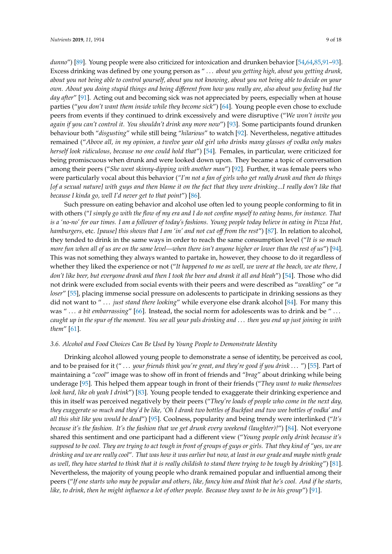*dunno*") [\[89\]](#page-16-10). Young people were also criticized for intoxication and drunken behavior [\[54,](#page-15-4)[64,](#page-15-10)[85,](#page-16-5)[91–](#page-16-12)[93\]](#page-16-13). Excess drinking was defined by one young person as " . . . *about you getting high, about you getting drunk, about you not being able to control yourself, about you not knowing, about you not being able to decide on your own. About you doing stupid things and being di*ff*erent from how you really are, also about you feeling bad the day after*" [\[91\]](#page-16-12). Acting out and becoming sick was not appreciated by peers, especially when at house parties ("*you don't want them inside while they become sick*") [\[64\]](#page-15-10). Young people even chose to exclude peers from events if they continued to drink excessively and were disruptive ("*We won't invite you again if you can't control it. You shouldn't drink any more now*") [\[93\]](#page-16-13). Some participants found drunken behaviour both "*disgusting*" while still being "*hilarious*" to watch [\[92\]](#page-16-14). Nevertheless, negative attitudes remained ("*Above all, in my opinion, a twelve year old girl who drinks many glasses of vodka only makes herself look ridiculous, because no one could hold that*") [\[54\]](#page-15-4). Females, in particular, were criticized for being promiscuous when drunk and were looked down upon. They became a topic of conversation among their peers ("*She went skinny-dipping with another man*") [\[92\]](#page-16-14). Further, it was female peers who were particularly vocal about this behavior (*"I'm not a fan of girls who get really drunk and then do things [of a sexual nature] with guys and then blame it on the fact that they were drinking...I really don't like that because I kinda go, well I'd never get to that point*") [\[86\]](#page-16-6).

Such pressure on eating behavior and alcohol use often led to young people conforming to fit in with others ("*I simply go with the flow of my era and I do not confine myself to eating beans, for instance. That is a 'no-no' for our times. I am a follower of today's fashions. Young people today believe in eating in Pizza Hut, hamburgers,* etc. *[pause] this shows that I am 'in' and not cut o*ff *from the rest*") [\[87\]](#page-16-7). In relation to alcohol, they tended to drink in the same ways in order to reach the same consumption level ("*It is so much more fun when all of us are on the same level—when there isn't anyone higher or lower than the rest of us*") [\[94\]](#page-16-15). This was not something they always wanted to partake in, however, they choose to do it regardless of whether they liked the experience or not ("*It happened to me as well, we were at the beach, we ate there, I don't like beer, but everyone drank and then I took the beer and drank it all and bleah*") [\[54\]](#page-15-4). Those who did not drink were excluded from social events with their peers and were described as "*weakling*" or "*a loser*" [\[55\]](#page-15-2), placing immense social pressure on adolescents to participate in drinking sessions as they did not want to " . . . *just stand there looking*" while everyone else drank alcohol [\[84\]](#page-16-4). For many this was " ... *a bit embarrassing*" [\[66\]](#page-15-13). Instead, the social norm for adolescents was to drink and be " ... *caught up in the spur of the moment. You see all your pals drinking and* . . . *then you end up just joining in with them*" [\[61\]](#page-15-9).

#### *3.6. Alcohol and Food Choices Can Be Used by Young People to Demonstrate Identity*

Drinking alcohol allowed young people to demonstrate a sense of identity, be perceived as cool, and to be praised for it (" . . . *your friends think you're great, and they're good if you drink* . . . ") [\[55\]](#page-15-2). Part of maintaining a "*cool*" image was to show off in front of friends and "*brag*" about drinking while being underage [\[95\]](#page-16-16). This helped them appear tough in front of their friends ("*They want to make themselves look hard, like oh yeah I drink*") [\[83\]](#page-16-3). Young people tended to exaggerate their drinking experience and this in itself was perceived negatively by their peers ("*They're loads of people who come in the next day, they exaggerate so much and they'd be like, 'Oh I drank two bottles of Buckfast and two wee bottles of vodka' and all this shit like you would be dead*") [\[95\]](#page-16-16). Coolness, popularity and being trendy were interlinked ("*It's because it's the fashion. It's the fashion that we get drunk every weekend (laughter)!*") [\[84\]](#page-16-4). Not everyone shared this sentiment and one participant had a different view ("*Young people only drink because it's supposed to be cool. They are trying to act tough in front of groups of guys or girls. That they kind of "yes, we are drinking and we are really cool*"*. That was how it was earlier but now, at least in our grade and maybe ninth grade as well, they have started to think that it is really childish to stand there trying to be tough by drinking*") [\[81\]](#page-16-1). Nevertheless, the majority of young people who drank remained popular and influential among their peers ("*If one starts who may be popular and others, like, fancy him and think that he's cool. And if he starts, like, to drink, then he might influence a lot of other people. Because they want to be in his group*") [\[91\]](#page-16-12).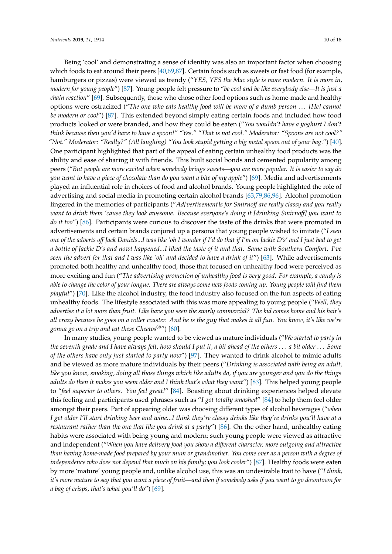Being 'cool' and demonstrating a sense of identity was also an important factor when choosing which foods to eat around their peers [\[40,](#page-14-1)[69,](#page-15-21)[87\]](#page-16-7). Certain foods such as sweets or fast food (for example, hamburgers or pizzas) were viewed as trendy ("*YES, YES the Mac style is more modern. It is more in, modern for young people*") [\[87\]](#page-16-7). Young people felt pressure to "*be cool and be like everybody else—It is just a chain reaction*" [\[69\]](#page-15-21). Subsequently, those who chose other food options such as home-made and healthy options were ostracized ("*The one who eats healthy food will be more of a dumb person* . . . *[He] cannot be modern or cool*") [\[87\]](#page-16-7). This extended beyond simply eating certain foods and included how food products looked or were branded, and how they could be eaten ("*You wouldn't have a yoghurt I don't think because then you'd have to have a spoon!" "Yes." "That is not cool." Moderator: "Spoons are not cool?" "Not." Moderator: "Really?" (All laughing) "You look stupid getting a big metal spoon out of your bag.*") [\[40\]](#page-14-1). One participant highlighted that part of the appeal of eating certain unhealthy food products was the ability and ease of sharing it with friends. This built social bonds and cemented popularity among peers ("*But people are more excited when somebody brings sweets—you are more popular. It is easier to say do you want to have a piece of chocolate than do you want a bite of my apple*") [\[69\]](#page-15-21). Media and advertisements played an influential role in choices of food and alcohol brands. Young people highlighted the role of advertising and social media in promoting certain alcohol brands [\[63](#page-15-12)[,79](#page-16-17)[,86](#page-16-6)[,96\]](#page-16-18). Alcohol promotion lingered in the memories of participants ("*Ad[vertisement]s for Smirno*ff *are really classy and you really want to drink them 'cause they look awesome. Because everyone's doing it [drinking Smirno*ff*] you want to do it too*") [\[86\]](#page-16-6). Participants were curious to discover the taste of the drinks that were promoted in advertisements and certain brands conjured up a persona that young people wished to imitate ("*I seen one of the adverts o*ff *Jack Daniels...I was like 'oh I wonder if I'd do that if I'm on Jackie D's' and I just had to get a bottle of Jackie D's and nowt happened...I liked the taste of it and that. Same with Southern Comfort. I've seen the advert for that and I was like 'oh' and decided to have a drink of it*") [\[63\]](#page-15-12). While advertisements promoted both healthy and unhealthy food, those that focused on unhealthy food were perceived as more exciting and fun ("*The advertising promotion of unhealthy food is very good. For example, a candy is able to change the color of your tongue. There are always some new foods coming up. Young people will find them playful"*) [\[70\]](#page-15-17). Like the alcohol industry, the food industry also focused on the fun aspects of eating unhealthy foods. The lifestyle associated with this was more appealing to young people ("*Well, they advertise it a lot more than fruit. Like have you seen the swirly commercial? The kid comes home and his hair's all crazy because he goes on a roller coaster. And he is the guy that makes it all fun. You know, it's like we're gonna go on a trip and eat these Cheetos*®") [\[60\]](#page-15-8).

In many studies, young people wanted to be viewed as mature individuals ("*We started to party in the seventh grade and I have always felt, how should I put it, a bit ahead of the others* . . . *a bit older* . . . *Some of the others have only just started to party now*") [\[97\]](#page-16-19). They wanted to drink alcohol to mimic adults and be viewed as more mature individuals by their peers ("*Drinking is associated with being an adult, like you know, smoking, doing all those things which like adults do, if you are younger and you do the things adults do then it makes you seem older and I think that's what they want*") [\[83\]](#page-16-3). This helped young people to "*feel superior to others. You feel great!*" [\[84\]](#page-16-4). Boasting about drinking experiences helped elevate this feeling and participants used phrases such as "*I got totally smashed*" [\[84\]](#page-16-4) to help them feel older amongst their peers. Part of appearing older was choosing different types of alcohol beverages ("*when I get older I'll start drinking beer and wine...I think they're classy drinks like they're drinks you'll have at a restaurant rather than the one that like you drink at a party*") [\[86\]](#page-16-6). On the other hand, unhealthy eating habits were associated with being young and modern; such young people were viewed as attractive and independent ("*When you have delivery food you show a di*ff*erent character, more outgoing and attractive than having home-made food prepared by your mum or grandmother. You come over as a person with a degree of independence who does not depend that much on his family; you look cooler*") [\[87\]](#page-16-7). Healthy foods were eaten by more 'mature' young people and, unlike alcohol use, this was an undesirable trait to have ("*I think, it's more mature to say that you want a piece of fruit—and then if somebody asks if you want to go downtown for a bag of crisps, that's what you'll do*") [\[69\]](#page-15-21).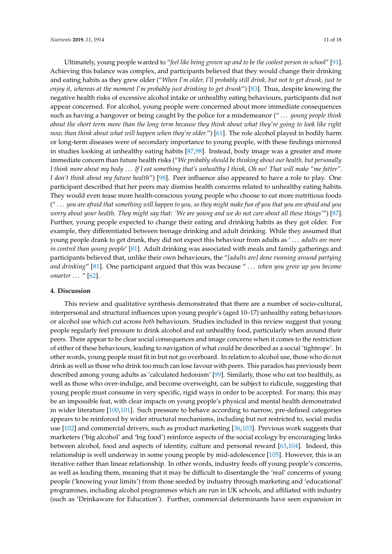Ultimately, young people wanted to "*feel like being grown up and to be the coolest person in school*" [\[91\]](#page-16-12). Achieving this balance was complex, and participants believed that they would change their drinking and eating habits as they grew older ("*When I'm older, I'll probably still drink, but not to get drunk, just to enjoy it, whereas at the moment I'm probably just drinking to get drunk*") [\[83\]](#page-16-3). Thus, despite knowing the negative health risks of excessive alcohol intake or unhealthy eating behaviours, participants did not appear concerned. For alcohol, young people were concerned about more immediate consequences such as having a hangover or being caught by the police for a misdemeanor (" . . . *young people think about the short term more than the long term because they think about what they're going to look like right now, than think about what will happen when they're older.*") [\[61\]](#page-15-9). The role alcohol played in bodily harm or long-term diseases were of secondary importance to young people, with these findings mirrored in studies looking at unhealthy eating habits [\[87](#page-16-7)[,98\]](#page-16-20). Instead, body image was a greater and more immediate concern than future health risks ("*We probably should be thinking about our health, but personally I think more about my body* . . . *If I eat something that's unhealthy I think, Oh no! That will make "me fatter". I don't think about my future health*") [\[98\]](#page-16-20). Peer influence also appeared to have a role to play. One participant described that her peers may dismiss health concerns related to unhealthy eating habits. They would even tease more health-conscious young people who choose to eat more nutritious foods (" . . . *you are afraid that something will happen to you, so they might make fun of you that you are afraid and you worry about your health. They might say that: 'We are young and we do not care about all these things'*") [\[87\]](#page-16-7). Further, young people expected to change their eating and drinking habits as they got older. For example, they differentiated between teenage drinking and adult drinking. While they assumed that young people drank to get drunk, they did not expect this behaviour from adults as ' . . . *adults are more in control than young people*' [\[81\]](#page-16-1). Adult drinking was associated with meals and family gatherings and participants believed that, unlike their own behaviours, the "*[adults are] done running around partying and drinking*" [\[81\]](#page-16-1). One participant argued that this was because " . . . *when you grow up you become smarter* ... " [\[62\]](#page-15-15).

#### **4. Discussion**

This review and qualitative synthesis demonstrated that there are a number of socio-cultural, interpersonal and structural influences upon young people's (aged 10–17) unhealthy eating behaviours or alcohol use which cut across *both* behaviours. Studies included in this review suggest that young people regularly feel pressure to drink alcohol and eat unhealthy food, particularly when around their peers. There appear to be clear social consequences and image concerns when it comes to the restriction of either of these behaviours, leading to navigation of what could be described as a social 'tightrope'. In other words, young people must fit in but not go overboard. In relation to alcohol use, those who do not drink as well as those who drink too much can lose favour with peers. This paradox has previously been described among young adults as 'calculated hedonism' [\[99\]](#page-17-0). Similarly, those who eat too healthily, as well as those who over-indulge, and become overweight, can be subject to ridicule, suggesting that young people must consume in very specific, rigid ways in order to be accepted. For many, this may be an impossible feat, with clear impacts on young people's physical and mental health demonstrated in wider literature [\[100](#page-17-1)[,101\]](#page-17-2). Such pressure to behave according to narrow, pre-defined categories appears to be reinforced by wider structural mechanisms, including but not restricted to, social media use [\[102\]](#page-17-3) and commercial drivers, such as product marketing [\[36](#page-14-11)[,103\]](#page-17-4). Previous work suggests that marketers ('big alcohol' and 'big food') reinforce aspects of the social ecology by encouraging links between alcohol, food and aspects of identity, culture and personal reward [\[63](#page-15-12)[,104\]](#page-17-5). Indeed, this relationship is well underway in some young people by mid-adolescence [\[105\]](#page-17-6). However, this is an iterative rather than linear relationship. In other words, industry feeds off young people's concerns, as well as leading them, meaning that it may be difficult to disentangle the 'real' concerns of young people ('knowing your limits') from those seeded by industry through marketing and 'educational' programmes, including alcohol programmes which are run in UK schools, and affiliated with industry (such as 'Drinkaware for Education'). Further, commercial determinants have seen expansion in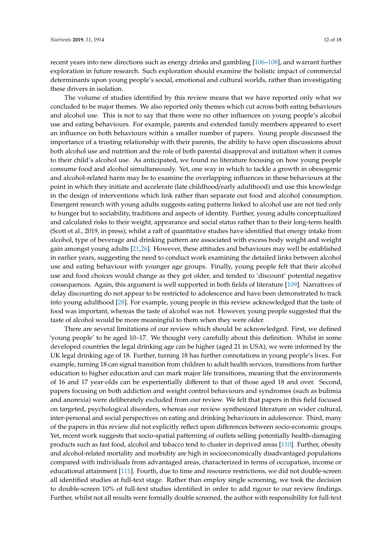recent years into new directions such as energy drinks and gambling [\[106–](#page-17-7)[108\]](#page-17-8), and warrant further exploration in future research. Such exploration should examine the holistic impact of commercial determinants upon young people's social, emotional and cultural worlds, rather than investigating these drivers in isolation.

The volume of studies identified by this review means that we have reported only what we concluded to be major themes. We also reported only themes which cut across both eating behaviours and alcohol use. This is not to say that there were no other influences on young people's alcohol use and eating behaviours. For example, parents and extended family members appeared to exert an influence on both behaviours within a smaller number of papers. Young people discussed the importance of a trusting relationship with their parents, the ability to have open discussions about both alcohol use and nutrition and the role of both parental disapproval and initiation when it comes to their child's alcohol use. As anticipated, we found no literature focusing on how young people consume food and alcohol simultaneously. Yet, one way in which to tackle a growth in obesogenic and alcohol-related harm may be to examine the overlapping influences in these behaviours at the point in which they initiate and accelerate (late childhood/early adulthood) and use this knowledge in the design of interventions which link rather than separate out food and alcohol consumption. Emergent research with young adults suggests eating patterns linked to alcohol use are not tied only to hunger but to sociability, traditions and aspects of identity. Further, young adults conceptualized and calculated risks to their weight, appearance and social status rather than to their long-term health (Scott et al., 2019, in press); whilst a raft of quantitative studies have identified that energy intake from alcohol, type of beverage and drinking pattern are associated with excess body weight and weight gain amongst young adults [\[21,](#page-13-8)[26\]](#page-13-12). However, these attitudes and behaviours may well be established in earlier years, suggesting the need to conduct work examining the detailed links between alcohol use and eating behaviour with younger age groups. Finally, young people felt that their alcohol use and food choices would change as they got older, and tended to 'discount' potential negative consequences. Again, this argument is well supported in both fields of literature [\[109\]](#page-17-9). Narratives of delay discounting do not appear to be restricted to adolescence and have been demonstrated to track into young adulthood [\[28\]](#page-13-14). For example, young people in this review acknowledged that the taste of food was important, whereas the taste of alcohol was not. However, young people suggested that the taste of alcohol would be more meaningful to them when they were older.

There are several limitations of our review which should be acknowledged. First, we defined 'young people' to be aged 10–17. We thought very carefully about this definition. Whilst in some developed countries the legal drinking age can be higher (aged 21 in USA), we were informed by the UK legal drinking age of 18. Further, turning 18 has further connotations in young people's lives. For example, turning 18 can signal transition from children to adult health services, transitions from further education to higher education and can mark major life transitions, meaning that the environments of 16 and 17 year-olds can be experientially different to that of those aged 18 and over. Second, papers focusing on both addiction and weight control behaviours and syndromes (such as bulimia and anorexia) were deliberately excluded from our review. We felt that papers in this field focused on targeted, psychological disorders, whereas our review synthesized literature on wider cultural, inter-personal and social perspectives on eating and drinking behaviours in adolescence. Third, many of the papers in this review did not explicitly reflect upon differences between socio-economic groups. Yet, recent work suggests that socio-spatial patterning of outlets selling potentially health-damaging products such as fast food, alcohol and tobacco tend to cluster in deprived areas [\[110\]](#page-17-10). Further, obesity and alcohol-related mortality and morbidity are high in socioeconomically disadvantaged populations compared with individuals from advantaged areas, characterized in terms of occupation, income or educational attainment [\[111\]](#page-17-11). Fourth, due to time and resource restrictions, we did not double-screen all identified studies at full-text stage. Rather than employ single screening, we took the decision to double-screen 10% of full-text studies identified in order to add rigour to our review findings. Further, whilst not all results were formally double screened, the author with responsibility for full-text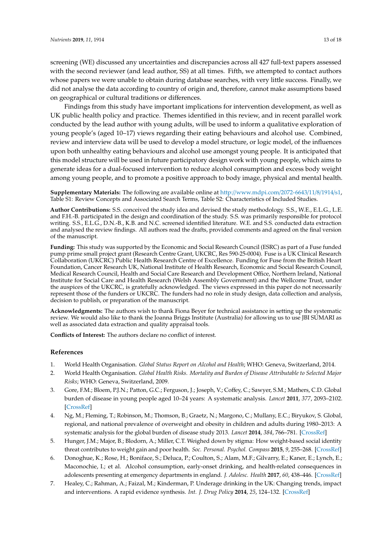screening (WE) discussed any uncertainties and discrepancies across all 427 full-text papers assessed with the second reviewer (and lead author, SS) at all times. Fifth, we attempted to contact authors whose papers we were unable to obtain during database searches, with very little success. Finally, we did not analyse the data according to country of origin and, therefore, cannot make assumptions based on geographical or cultural traditions or differences.

Findings from this study have important implications for intervention development, as well as UK public health policy and practice. Themes identified in this review, and in recent parallel work conducted by the lead author with young adults, will be used to inform a qualitative exploration of young people's (aged 10–17) views regarding their eating behaviours and alcohol use. Combined, review and interview data will be used to develop a model structure, or logic model, of the influences upon both unhealthy eating behaviours and alcohol use amongst young people. It is anticipated that this model structure will be used in future participatory design work with young people, which aims to generate ideas for a dual-focused intervention to reduce alcohol consumption and excess body weight among young people, and to promote a positive approach to body image, physical and mental health.

**Supplementary Materials:** The following are available online at http://[www.mdpi.com](http://www.mdpi.com/2072-6643/11/8/1914/s1)/2072-6643/11/8/1914/s1, Table S1: Review Concepts and Associated Search Terms, Table S2: Characteristics of Included Studies.

**Author Contributions:** S.S. conceived the study idea and devised the study methodology. S.S., W.E., E.L.G., L.E. and F.H.-B. participated in the design and coordination of the study. S.S. was primarily responsible for protocol writing. S.S., E.L.G., D.N.-B., K.B. and N.C. screened identified literature. W.E. and S.S. conducted data extraction and analysed the review findings. All authors read the drafts, provided comments and agreed on the final version of the manuscript.

**Funding:** This study was supported by the Economic and Social Research Council (ESRC) as part of a Fuse funded pump prime small project grant (Research Centre Grant, UKCRC, Res 590-25-0004). Fuse is a UK Clinical Research Collaboration (UKCRC) Public Health Research Centre of Excellence. Funding for Fuse from the British Heart Foundation, Cancer Research UK, National Institute of Health Research, Economic and Social Research Council, Medical Research Council, Health and Social Care Research and Development Office, Northern Ireland, National Institute for Social Care and Health Research (Welsh Assembly Government) and the Wellcome Trust, under the auspices of the UKCRC, is gratefully acknowledged. The views expressed in this paper do not necessarily represent those of the funders or UKCRC. The funders had no role in study design, data collection and analysis, decision to publish, or preparation of the manuscript.

**Acknowledgments:** The authors wish to thank Fiona Beyer for technical assistance in setting up the systematic review. We would also like to thank the Joanna Briggs Institute (Australia) for allowing us to use JBI SUMARI as well as associated data extraction and quality appraisal tools.

**Conflicts of Interest:** The authors declare no conflict of interest.

#### **References**

- <span id="page-12-0"></span>1. World Health Organisation. *Global Status Report on Alcohol and Health*; WHO: Geneva, Switzerland, 2014.
- <span id="page-12-1"></span>2. World Health Organisation. *Global Health Risks. Mortality and Burden of Disease Attributable to Selected Major Risks*; WHO: Geneva, Switzerland, 2009.
- <span id="page-12-2"></span>3. Gore, F.M.; Bloem, P.J.N.; Patton, G.C.; Ferguson, J.; Joseph, V.; Coffey, C.; Sawyer, S.M.; Mathers, C.D. Global burden of disease in young people aged 10–24 years: A systematic analysis. *Lancet* **2011**, *377*, 2093–2102. [\[CrossRef\]](http://dx.doi.org/10.1016/S0140-6736(11)60512-6)
- <span id="page-12-3"></span>4. Ng, M.; Fleming, T.; Robinson, M.; Thomson, B.; Graetz, N.; Margono, C.; Mullany, E.C.; Biryukov, S. Global, regional, and national prevalence of overweight and obesity in children and adults during 1980–2013: A systematic analysis for the global burden of disease study 2013. *Lancet* **2014**, *384*, 766–781. [\[CrossRef\]](http://dx.doi.org/10.1016/S0140-6736(14)60460-8)
- <span id="page-12-4"></span>5. Hunger, J.M.; Major, B.; Blodorn, A.; Miller, C.T. Weighed down by stigma: How weight-based social identity threat contributes to weight gain and poor health. *Soc. Personal. Psychol. Compass* **2015**, *9*, 255–268. [\[CrossRef\]](http://dx.doi.org/10.1111/spc3.12172)
- 6. Donoghue, K.; Rose, H.; Boniface, S.; Deluca, P.; Coulton, S.; Alam, M.F.; Gilvarry, E.; Kaner, E.; Lynch, E.; Maconochie, I.; et al. Alcohol consumption, early-onset drinking, and health-related consequences in adolescents presenting at emergency departments in england. *J. Adolesc. Health* **2017**, *60*, 438–446. [\[CrossRef\]](http://dx.doi.org/10.1016/j.jadohealth.2016.11.017)
- 7. Healey, C.; Rahman, A.; Faizal, M.; Kinderman, P. Underage drinking in the UK: Changing trends, impact and interventions. A rapid evidence synthesis. *Int. J. Drug Policy* **2014**, *25*, 124–132. [\[CrossRef\]](http://dx.doi.org/10.1016/j.drugpo.2013.07.008)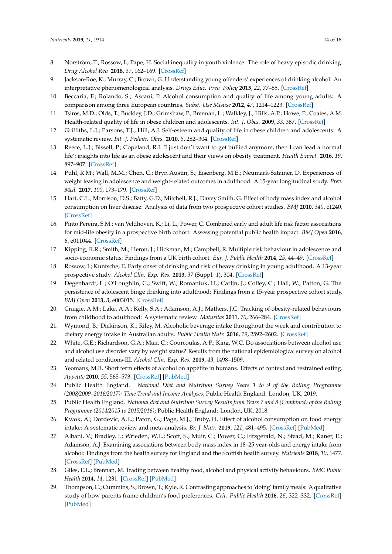- 8. Norström, T.; Rossow, I.; Pape, H. Social inequality in youth violence: The role of heavy episodic drinking. *Drug Alcohol Rev.* **2018**, *37*, 162–169. [\[CrossRef\]](http://dx.doi.org/10.1111/dar.12582)
- 9. Jackson-Roe, K.; Murray, C.; Brown, G. Understanding young offenders' experiences of drinking alcohol: An interpretative phenomenological analysis. *Drugs Educ. Prev. Policy* **2015**, *22*, 77–85. [\[CrossRef\]](http://dx.doi.org/10.3109/09687637.2014.973371)
- 10. Beccaria, F.; Rolando, S.; Ascani, P. Alcohol consumption and quality of life among young adults: A comparison among three European countries. *Subst. Use Misuse* **2012**, *47*, 1214–1223. [\[CrossRef\]](http://dx.doi.org/10.3109/10826084.2012.698689)
- 11. Tsiros, M.D.; Olds, T.; Buckley, J.D.; Grimshaw, P.; Brennan, L.; Walkley, J.; Hills, A.P.; Howe, P.; Coates, A.M. Health-related quality of life in obese children and adolescents. *Int. J. Obes.* **2009**, *33*, 387. [\[CrossRef\]](http://dx.doi.org/10.1038/ijo.2009.42)
- <span id="page-13-0"></span>12. Griffiths, L.J.; Parsons, T.J.; Hill, A.J. Self-esteem and quality of life in obese children and adolescents: A systematic review. *Int. J. Pediatr. Obes.* **2010**, *5*, 282–304. [\[CrossRef\]](http://dx.doi.org/10.3109/17477160903473697)
- <span id="page-13-1"></span>13. Reece, L.J.; Bissell, P.; Copeland, R.J. 'I just don't want to get bullied anymore, then I can lead a normal life'; insights into life as an obese adolescent and their views on obesity treatment. *Health Expect.* **2016**, *19*, 897–907. [\[CrossRef\]](http://dx.doi.org/10.1111/hex.12385)
- <span id="page-13-2"></span>14. Puhl, R.M.; Wall, M.M.; Chen, C.; Bryn Austin, S.; Eisenberg, M.E.; Neumark-Sztainer, D. Experiences of weight teasing in adolescence and weight-related outcomes in adulthood: A 15-year longitudinal study. *Prev. Med.* **2017**, *100*, 173–179. [\[CrossRef\]](http://dx.doi.org/10.1016/j.ypmed.2017.04.023)
- <span id="page-13-3"></span>15. Hart, C.L.; Morrison, D.S.; Batty, G.D.; Mitchell, R.J.; Davey Smith, G. Effect of body mass index and alcohol consumption on liver disease: Analysis of data from two prospective cohort studies. *BMJ* **2010**, *340*, c1240. [\[CrossRef\]](http://dx.doi.org/10.1136/bmj.c1240)
- <span id="page-13-4"></span>16. Pinto Pereira, S.M.; van Veldhoven, K.; Li, L.; Power, C. Combined early and adult life risk factor associations for mid-life obesity in a prospective birth cohort: Assessing potential public health impact. *BMJ Open* **2016**, *6*, e011044. [\[CrossRef\]](http://dx.doi.org/10.1136/bmjopen-2016-011044)
- <span id="page-13-5"></span>17. Kipping, R.R.; Smith, M.; Heron, J.; Hickman, M.; Campbell, R. Multiple risk behaviour in adolescence and socio-economic status: Findings from a UK birth cohort. *Eur. J. Public Health* **2014**, *25*, 44–49. [\[CrossRef\]](http://dx.doi.org/10.1093/eurpub/cku078)
- <span id="page-13-6"></span>18. Rossow, I.; Kuntsche, E. Early onset of drinking and risk of heavy drinking in young adulthood. A 13-year prospective study. *Alcohol Clin. Exp. Res.* **2013**, *37* (Suppl. 1), 304. [\[CrossRef\]](http://dx.doi.org/10.1111/j.1530-0277.2012.01924.x)
- 19. Degenhardt, L.; O'Loughlin, C.; Swift, W.; Romaniuk, H.; Carlin, J.; Coffey, C.; Hall, W.; Patton, G. The persistence of adolescent binge drinking into adulthood: Findings from a 15-year prospective cohort study. *BMJ Open* **2013**, *3*, e003015. [\[CrossRef\]](http://dx.doi.org/10.1136/bmjopen-2013-003015)
- <span id="page-13-7"></span>20. Craigie, A.M.; Lake, A.A.; Kelly, S.A.; Adamson, A.J.; Mathers, J.C. Tracking of obesity-related behaviours from childhood to adulthood: A systematic review. *Maturitas* **2011**, *70*, 266–284. [\[CrossRef\]](http://dx.doi.org/10.1016/j.maturitas.2011.08.005)
- <span id="page-13-8"></span>21. Wymond, B.; Dickinson, K.; Riley, M. Alcoholic beverage intake throughout the week and contribution to dietary energy intake in Australian adults. *Public Health Nutr.* **2016**, *19*, 2592–2602. [\[CrossRef\]](http://dx.doi.org/10.1017/S136898001600063X)
- 22. White, G.E.; Richardson, G.A.; Mair, C.; Courcoulas, A.P.; King, W.C. Do associations between alcohol use and alcohol use disorder vary by weight status? Results from the national epidemiological survey on alcohol and related conditions-III. *Alcohol Clin. Exp. Res.* **2019**, *43*, 1498–1509.
- <span id="page-13-9"></span>23. Yeomans, M.R. Short term effects of alcohol on appetite in humans. Effects of context and restrained eating. *Appetite* **2010**, *55*, 565–573. [\[CrossRef\]](http://dx.doi.org/10.1016/j.appet.2010.09.005) [\[PubMed\]](http://www.ncbi.nlm.nih.gov/pubmed/20851724)
- <span id="page-13-10"></span>24. Public Health England. *National Diet and Nutrition Survey Years 1 to 9 of the Rolling Programme (2008*/*2009–2016*/*2017): Time Trend and Income Analyses*; Public Health England: London, UK, 2019.
- <span id="page-13-11"></span>25. Public Health England. *National diet and Nutrition Survey Results from Years 7 and 8 (Combined) of the Rolling Programme (2014*/*2015 to 2015*/*2016)*; Public Health England: London, UK, 2018.
- <span id="page-13-12"></span>26. Kwok, A.; Dordevic, A.L.; Paton, G.; Page, M.J.; Truby, H. Effect of alcohol consumption on food energy intake: A systematic review and meta-analysis. *Br. J. Nutr.* **2019**, *121*, 481–495. [\[CrossRef\]](http://dx.doi.org/10.1017/S0007114518003677) [\[PubMed\]](http://www.ncbi.nlm.nih.gov/pubmed/30630543)
- <span id="page-13-13"></span>27. Albani, V.; Bradley, J.; Wrieden, W.L.; Scott, S.; Muir, C.; Power, C.; Fitzgerald, N.; Stead, M.; Kaner, E.; Adamson, A.J. Examining associations between body mass index in 18–25 year-olds and energy intake from alcohol: Findings from the health survey for England and the Scottish health survey. *Nutrients* **2018**, *10*, 1477. [\[CrossRef\]](http://dx.doi.org/10.3390/nu10101477) [\[PubMed\]](http://www.ncbi.nlm.nih.gov/pubmed/30309046)
- <span id="page-13-14"></span>28. Giles, E.L.; Brennan, M. Trading between healthy food, alcohol and physical activity behaviours. *BMC Public Health* **2014**, *14*, 1231. [\[CrossRef\]](http://dx.doi.org/10.1186/1471-2458-14-1231) [\[PubMed\]](http://www.ncbi.nlm.nih.gov/pubmed/25429981)
- <span id="page-13-15"></span>29. Thompson, C.; Cummins, S.; Brown, T.; Kyle, R. Contrasting approaches to 'doing' family meals: A qualitative study of how parents frame children's food preferences. *Crit. Public Health* **2016**, *26*, 322–332. [\[CrossRef\]](http://dx.doi.org/10.1080/09581596.2015.1089353) [\[PubMed\]](http://www.ncbi.nlm.nih.gov/pubmed/27019551)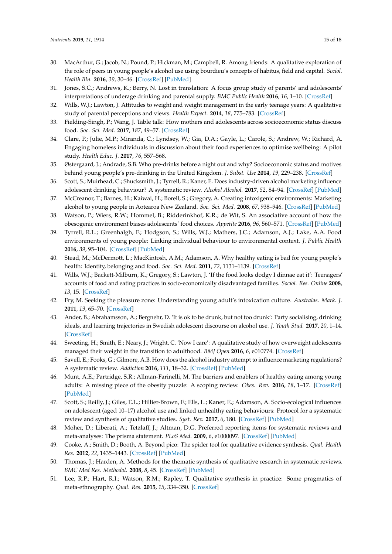- 30. MacArthur, G.; Jacob, N.; Pound, P.; Hickman, M.; Campbell, R. Among friends: A qualitative exploration of the role of peers in young people's alcohol use using bourdieu's concepts of habitus, field and capital. *Sociol. Health Illn.* **2016**, *39*, 30–46. [\[CrossRef\]](http://dx.doi.org/10.1111/1467-9566.12467) [\[PubMed\]](http://www.ncbi.nlm.nih.gov/pubmed/27573161)
- 31. Jones, S.C.; Andrews, K.; Berry, N. Lost in translation: A focus group study of parents' and adolescents' interpretations of underage drinking and parental supply. *BMC Public Health* **2016**, *16*, 1–10. [\[CrossRef\]](http://dx.doi.org/10.1186/s12889-016-3218-3)
- 32. Wills, W.J.; Lawton, J. Attitudes to weight and weight management in the early teenage years: A qualitative study of parental perceptions and views. *Health Expect.* **2014**, *18*, 775–783. [\[CrossRef\]](http://dx.doi.org/10.1111/hex.12182)
- 33. Fielding-Singh, P.; Wang, J. Table talk: How mothers and adolescents across socioeconomic status discuss food. *Soc. Sci. Med.* **2017**, *187*, 49–57. [\[CrossRef\]](http://dx.doi.org/10.1016/j.socscimed.2017.06.016)
- 34. Clare, P.; Julie, M.P.; Miranda, C.; Lyndsey, W.; Gia, D.A.; Gayle, L.; Carole, S.; Andrew, W.; Richard, A. Engaging homeless individuals in discussion about their food experiences to optimise wellbeing: A pilot study. *Health Educ. J.* **2017**, *76*, 557–568.
- 35. Østergaard, J.; Andrade, S.B. Who pre-drinks before a night out and why? Socioeconomic status and motives behind young people's pre-drinking in the United Kingdom. *J. Subst. Use* **2014**, *19*, 229–238. [\[CrossRef\]](http://dx.doi.org/10.3109/14659891.2013.784368)
- <span id="page-14-11"></span>36. Scott, S.; Muirhead, C.; Shucksmith, J.; Tyrrell, R.; Kaner, E. Does industry-driven alcohol marketing influence adolescent drinking behaviour? A systematic review. *Alcohol Alcohol.* **2017**, *52*, 84–94. [\[CrossRef\]](http://dx.doi.org/10.1093/alcalc/agw085) [\[PubMed\]](http://www.ncbi.nlm.nih.gov/pubmed/27864186)
- 37. McCreanor, T.; Barnes, H.; Kaiwai, H.; Borell, S.; Gregory, A. Creating intoxigenic environments: Marketing alcohol to young people in Aotearoa New Zealand. *Soc. Sci. Med.* **2008**, *67*, 938–946. [\[CrossRef\]](http://dx.doi.org/10.1016/j.socscimed.2008.05.027) [\[PubMed\]](http://www.ncbi.nlm.nih.gov/pubmed/18619720)
- 38. Watson, P.; Wiers, R.W.; Hommel, B.; Ridderinkhof, K.R.; de Wit, S. An associative account of how the obesogenic environment biases adolescents' food choices. *Appetite* **2016**, *96*, 560–571. [\[CrossRef\]](http://dx.doi.org/10.1016/j.appet.2015.10.008) [\[PubMed\]](http://www.ncbi.nlm.nih.gov/pubmed/26482282)
- <span id="page-14-0"></span>39. Tyrrell, R.L.; Greenhalgh, F.; Hodgson, S.; Wills, W.J.; Mathers, J.C.; Adamson, A.J.; Lake, A.A. Food environments of young people: Linking individual behaviour to environmental context. *J. Public Health* **2016**, *39*, 95–104. [\[CrossRef\]](http://dx.doi.org/10.1093/pubmed/fdw019) [\[PubMed\]](http://www.ncbi.nlm.nih.gov/pubmed/26962196)
- <span id="page-14-1"></span>40. Stead, M.; McDermott, L.; MacKintosh, A.M.; Adamson, A. Why healthy eating is bad for young people's health: Identity, belonging and food. *Soc. Sci. Med.* **2011**, *72*, 1131–1139. [\[CrossRef\]](http://dx.doi.org/10.1016/j.socscimed.2010.12.029)
- 41. Wills, W.J.; Backett-Milburn, K.; Gregory, S.; Lawton, J. 'If the food looks dodgy I dinnae eat it': Teenagers' accounts of food and eating practices in socio-economically disadvantaged families. *Sociol. Res. Online* **2008**, *13*, 15. [\[CrossRef\]](http://dx.doi.org/10.5153/sro.1681)
- 42. Fry, M. Seeking the pleasure zone: Understanding young adult's intoxication culture. *Australas. Mark. J.* **2011**, *19*, 65–70. [\[CrossRef\]](http://dx.doi.org/10.1016/j.ausmj.2010.11.009)
- <span id="page-14-2"></span>43. Ander, B.; Abrahamsson, A.; Bergnehr, D. 'It is ok to be drunk, but not too drunk': Party socialising, drinking ideals, and learning trajectories in Swedish adolescent discourse on alcohol use. *J. Youth Stud.* **2017**, *20*, 1–14. [\[CrossRef\]](http://dx.doi.org/10.1080/13676261.2016.1273515)
- <span id="page-14-3"></span>44. Sweeting, H.; Smith, E.; Neary, J.; Wright, C. 'Now I care': A qualitative study of how overweight adolescents managed their weight in the transition to adulthood. *BMJ Open* **2016**, *6*, e010774. [\[CrossRef\]](http://dx.doi.org/10.1136/bmjopen-2015-010774)
- <span id="page-14-4"></span>45. Savell, E.; Fooks, G.; Gilmore, A.B. How does the alcohol industry attempt to influence marketing regulations? A systematic review. *Addiction* **2016**, *111*, 18–32. [\[CrossRef\]](http://dx.doi.org/10.1111/add.13048) [\[PubMed\]](http://www.ncbi.nlm.nih.gov/pubmed/26173765)
- <span id="page-14-5"></span>46. Munt, A.E.; Partridge, S.R.; Allman-Farinelli, M. The barriers and enablers of healthy eating among young adults: A missing piece of the obesity puzzle: A scoping review. *Obes. Rev.* **2016**, *18*, 1–17. [\[CrossRef\]](http://dx.doi.org/10.1111/obr.12472) [\[PubMed\]](http://www.ncbi.nlm.nih.gov/pubmed/27764897)
- <span id="page-14-6"></span>47. Scott, S.; Reilly, J.; Giles, E.L.; Hillier-Brown, F.; Ells, L.; Kaner, E.; Adamson, A. Socio-ecological influences on adolescent (aged 10–17) alcohol use and linked unhealthy eating behaviours: Protocol for a systematic review and synthesis of qualitative studies. *Syst. Rev.* **2017**, *6*, 180. [\[CrossRef\]](http://dx.doi.org/10.1186/s13643-017-0574-8) [\[PubMed\]](http://www.ncbi.nlm.nih.gov/pubmed/28865491)
- <span id="page-14-7"></span>48. Moher, D.; Liberati, A.; Tetzlaff, J.; Altman, D.G. Preferred reporting items for systematic reviews and meta-analyses: The prisma statement. *PLoS Med.* **2009**, *6*, e1000097. [\[CrossRef\]](http://dx.doi.org/10.1371/journal.pmed.1000097) [\[PubMed\]](http://www.ncbi.nlm.nih.gov/pubmed/19621072)
- <span id="page-14-8"></span>49. Cooke, A.; Smith, D.; Booth, A. Beyond pico: The spider tool for qualitative evidence synthesis. *Qual. Health Res.* **2012**, *22*, 1435–1443. [\[CrossRef\]](http://dx.doi.org/10.1177/1049732312452938) [\[PubMed\]](http://www.ncbi.nlm.nih.gov/pubmed/22829486)
- <span id="page-14-9"></span>50. Thomas, J.; Harden, A. Methods for the thematic synthesis of qualitative research in systematic reviews. *BMC Med Res. Methodol.* **2008**, *8*, 45. [\[CrossRef\]](http://dx.doi.org/10.1186/1471-2288-8-45) [\[PubMed\]](http://www.ncbi.nlm.nih.gov/pubmed/18616818)
- <span id="page-14-10"></span>51. Lee, R.P.; Hart, R.I.; Watson, R.M.; Rapley, T. Qualitative synthesis in practice: Some pragmatics of meta-ethnography. *Qual. Res.* **2015**, *15*, 334–350. [\[CrossRef\]](http://dx.doi.org/10.1177/1468794114524221)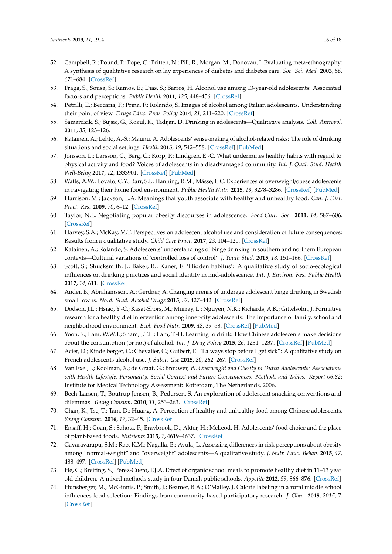- <span id="page-15-0"></span>52. Campbell, R.; Pound, P.; Pope, C.; Britten, N.; Pill, R.; Morgan, M.; Donovan, J. Evaluating meta-ethnography: A synthesis of qualitative research on lay experiences of diabetes and diabetes care. *Soc. Sci. Med.* **2003**, *56*, 671–684. [\[CrossRef\]](http://dx.doi.org/10.1016/S0277-9536(02)00064-3)
- <span id="page-15-1"></span>53. Fraga, S.; Sousa, S.; Ramos, E.; Dias, S.; Barros, H. Alcohol use among 13-year-old adolescents: Associated factors and perceptions. *Public Health* **2011**, *125*, 448–456. [\[CrossRef\]](http://dx.doi.org/10.1016/j.puhe.2011.01.004)
- <span id="page-15-4"></span>54. Petrilli, E.; Beccaria, F.; Prina, F.; Rolando, S. Images of alcohol among Italian adolescents. Understanding their point of view. *Drugs Educ. Prev. Policy* **2014**, *21*, 211–220. [\[CrossRef\]](http://dx.doi.org/10.3109/09687637.2013.875128)
- <span id="page-15-2"></span>55. Samardzik, S.; Bujsic, G.; Kozul, K.; Tadijan, D. Drinking in adolescents—Qualitative analysis. *Coll. Antropol.* **2011**, *35*, 123–126.
- <span id="page-15-3"></span>56. Katainen, A.; Lehto, A.-S.; Maunu, A. Adolescents' sense-making of alcohol-related risks: The role of drinking situations and social settings. *Health* **2015**, *19*, 542–558. [\[CrossRef\]](http://dx.doi.org/10.1177/1363459314557966) [\[PubMed\]](http://www.ncbi.nlm.nih.gov/pubmed/25411165)
- <span id="page-15-5"></span>57. Jonsson, L.; Larsson, C.; Berg, C.; Korp, P.; Lindgren, E.-C. What undermines healthy habits with regard to physical activity and food? Voices of adolescents in a disadvantaged community. *Int. J. Qual. Stud. Health Well-Being* **2017**, *12*, 1333901. [\[CrossRef\]](http://dx.doi.org/10.1080/17482631.2017.1333901) [\[PubMed\]](http://www.ncbi.nlm.nih.gov/pubmed/28585483)
- <span id="page-15-6"></span>58. Watts, A.W.; Lovato, C.Y.; Barr, S.I.; Hanning, R.M.; Mâsse, L.C. Experiences of overweight/obese adolescents in navigating their home food environment. *Public Health Nutr.* **2015**, *18*, 3278–3286. [\[CrossRef\]](http://dx.doi.org/10.1017/S1368980015000786) [\[PubMed\]](http://www.ncbi.nlm.nih.gov/pubmed/25828859)
- <span id="page-15-7"></span>59. Harrison, M.; Jackson, L.A. Meanings that youth associate with healthy and unhealthy food. *Can. J. Diet. Pract. Res.* **2009**, *70*, 6–12. [\[CrossRef\]](http://dx.doi.org/10.3148/70.1.2009.6)
- <span id="page-15-8"></span>60. Taylor, N.L. Negotiating popular obesity discourses in adolescence. *Food Cult. Soc.* **2011**, *14*, 587–606. [\[CrossRef\]](http://dx.doi.org/10.2752/175174411X13046092851433)
- <span id="page-15-9"></span>61. Harvey, S.A.; McKay, M.T. Perspectives on adolescent alcohol use and consideration of future consequences: Results from a qualitative study. *Child Care Pract.* **2017**, *23*, 104–120. [\[CrossRef\]](http://dx.doi.org/10.1080/13575279.2015.1126230)
- <span id="page-15-15"></span>62. Katainen, A.; Rolando, S. Adolescents' understandings of binge drinking in southern and northern European contexts—Cultural variations of 'controlled loss of control'. *J. Youth Stud.* **2015**, *18*, 151–166. [\[CrossRef\]](http://dx.doi.org/10.1080/13676261.2014.933200)
- <span id="page-15-12"></span>63. Scott, S.; Shucksmith, J.; Baker, R.; Kaner, E. 'Hidden habitus': A qualitative study of socio-ecological influences on drinking practices and social identity in mid-adolescence. *Int. J. Environ. Res. Public Health* **2017**, *14*, 611. [\[CrossRef\]](http://dx.doi.org/10.3390/ijerph14060611)
- <span id="page-15-10"></span>64. Ander, B.; Abrahamsson, A.; Gerdner, A. Changing arenas of underage adolescent binge drinking in Swedish small towns. *Nord. Stud. Alcohol Drugs* **2015**, *32*, 427–442. [\[CrossRef\]](http://dx.doi.org/10.1515/nsad-2015-0041)
- <span id="page-15-11"></span>65. Dodson, J.L.; Hsiao, Y.-C.; Kasat-Shors, M.; Murray, L.; Nguyen, N.K.; Richards, A.K.; Gittelsohn, J. Formative research for a healthy diet intervention among inner-city adolescents: The importance of family, school and neighborhood environment. *Ecol. Food Nutr.* **2009**, *48*, 39–58. [\[CrossRef\]](http://dx.doi.org/10.1080/03670240802575493) [\[PubMed\]](http://www.ncbi.nlm.nih.gov/pubmed/21883057)
- <span id="page-15-13"></span>66. Yoon, S.; Lam, W.W.T.; Sham, J.T.L.; Lam, T.-H. Learning to drink: How Chinese adolescents make decisions about the consumption (or not) of alcohol. *Int. J. Drug Policy* **2015**, *26*, 1231–1237. [\[CrossRef\]](http://dx.doi.org/10.1016/j.drugpo.2015.09.001) [\[PubMed\]](http://www.ncbi.nlm.nih.gov/pubmed/26440773)
- <span id="page-15-14"></span>67. Acier, D.; Kindelberger, C.; Chevalier, C.; Guibert, E. "I always stop before I get sick": A qualitative study on French adolescents alcohol use. *J. Subst. Use* **2015**, *20*, 262–267. [\[CrossRef\]](http://dx.doi.org/10.3109/14659891.2014.909892)
- <span id="page-15-16"></span>68. Van Exel, J.; Koolman, X.; de Graaf, G.; Brouwer, W. *Overweight and Obesity in Dutch Adolescents: Associations with Health Lifestyle, Personality, Social Context and Future Consequences: Methods and Tables. Report 06.82*; Institute for Medical Technology Assessment: Rotterdam, The Netherlands, 2006.
- <span id="page-15-21"></span>69. Bech-Larsen, T.; Boutrup Jensen, B.; Pedersen, S. An exploration of adolescent snacking conventions and dilemmas. *Young Consum.* **2010**, *11*, 253–263. [\[CrossRef\]](http://dx.doi.org/10.1108/17473611011093899)
- <span id="page-15-17"></span>70. Chan, K.; Tse, T.; Tam, D.; Huang, A. Perception of healthy and unhealthy food among Chinese adolescents. *Young Consum.* **2016**, *17*, 32–45. [\[CrossRef\]](http://dx.doi.org/10.1108/YC-03-2015-00520)
- <span id="page-15-18"></span>71. Ensaff, H.; Coan, S.; Sahota, P.; Braybrook, D.; Akter, H.; McLeod, H. Adolescents' food choice and the place of plant-based foods. *Nutrients* **2015**, *7*, 4619–4637. [\[CrossRef\]](http://dx.doi.org/10.3390/nu7064619)
- 72. Gavaravarapu, S.M.; Rao, K.M.; Nagalla, B.; Avula, L. Assessing differences in risk perceptions about obesity among "normal-weight" and "overweight" adolescents—A qualitative study. *J. Nutr. Educ. Behav.* **2015**, *47*, 488–497. [\[CrossRef\]](http://dx.doi.org/10.1016/j.jneb.2015.07.001) [\[PubMed\]](http://www.ncbi.nlm.nih.gov/pubmed/26311140)
- <span id="page-15-20"></span>73. He, C.; Breiting, S.; Perez-Cueto, F.J.A. Effect of organic school meals to promote healthy diet in 11–13 year old children. A mixed methods study in four Danish public schools. *Appetite* **2012**, *59*, 866–876. [\[CrossRef\]](http://dx.doi.org/10.1016/j.appet.2012.09.001)
- <span id="page-15-19"></span>74. Hunsberger, M.; McGinnis, P.; Smith, J.; Beamer, B.A.; O'Malley, J. Calorie labeling in a rural middle school influences food selection: Findings from community-based participatory research. *J. Obes.* **2015**, *2015*, 7. [\[CrossRef\]](http://dx.doi.org/10.1155/2015/531690)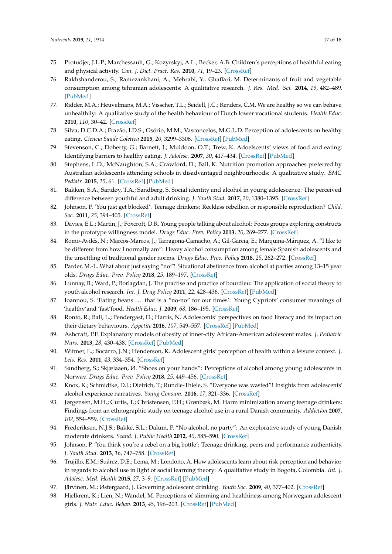- 75. Protudjer, J.L.P.; Marchessault, G.; Kozyrskyj, A.L.; Becker, A.B. Children's perceptions of healthful eating and physical activity. *Can. J. Diet. Pract. Res.* **2010**, *71*, 19–23. [\[CrossRef\]](http://dx.doi.org/10.3148/71.1.2010.19)
- 76. Rakhshanderou, S.; Ramezankhani, A.; Mehrabi, Y.; Ghaffari, M. Determinants of fruit and vegetable consumption among tehranian adolescents: A qualitative research. *J. Res. Med. Sci.* **2014**, *19*, 482–489. [\[PubMed\]](http://www.ncbi.nlm.nih.gov/pubmed/25197287)
- <span id="page-16-9"></span>77. Ridder, M.A.; Heuvelmans, M.A.; Visscher, T.L.; Seidell, J.C.; Renders, C.M. We are healthy so we can behave unhealthily: A qualitative study of the health behaviour of Dutch lower vocational students. *Health Educ.* **2010**, *110*, 30–42. [\[CrossRef\]](http://dx.doi.org/10.1108/09654281011008735)
- 78. Silva, D.C.D.A.; Frazão, I.D.S.; Osório, M.M.; Vasconcelos, M.G.L.D. Perception of adolescents on healthy eating. *Ciencia Saude Coletiva* **2015**, *20*, 3299–3308. [\[CrossRef\]](http://dx.doi.org/10.1590/1413-812320152011.00972015) [\[PubMed\]](http://www.ncbi.nlm.nih.gov/pubmed/26602708)
- <span id="page-16-17"></span>79. Stevenson, C.; Doherty, G.; Barnett, J.; Muldoon, O.T.; Trew, K. Adoelscents' views of food and eating: Identifying barriers to healthy eating. *J. Adolesc.* **2007**, *30*, 417–434. [\[CrossRef\]](http://dx.doi.org/10.1016/j.adolescence.2006.04.005) [\[PubMed\]](http://www.ncbi.nlm.nih.gov/pubmed/16730371)
- <span id="page-16-0"></span>80. Stephens, L.D.; McNaughton, S.A.; Crawford, D.; Ball, K. Nutrition promotion approaches preferred by Australian adolescents attending schools in disadvantaged neighbourhoods: A qualitative study. *BMC Pediatr.* **2015**, *15*, 61. [\[CrossRef\]](http://dx.doi.org/10.1186/s12887-015-0379-7) [\[PubMed\]](http://www.ncbi.nlm.nih.gov/pubmed/25986466)
- <span id="page-16-1"></span>81. Bakken, S.A.; Sandøy, T.A.; Sandberg, S. Social identity and alcohol in young adolescence: The perceived difference between youthful and adult drinking. *J. Youth Stud.* **2017**, *20*, 1380–1395. [\[CrossRef\]](http://dx.doi.org/10.1080/13676261.2017.1333585)
- <span id="page-16-2"></span>82. Johnson, P. 'You just get blocked'. Teenage drinkers: Reckless rebellion or responsible reproduction? *Child. Soc.* **2011**, *25*, 394–405. [\[CrossRef\]](http://dx.doi.org/10.1111/j.1099-0860.2009.00288.x)
- <span id="page-16-3"></span>83. Davies, E.L.; Martin, J.; Foxcroft, D.R. Young people talking about alcohol: Focus groups exploring constructs in the prototype willingness model. *Drugs Educ. Prev. Policy* **2013**, *20*, 269–277. [\[CrossRef\]](http://dx.doi.org/10.3109/09687637.2012.726662)
- <span id="page-16-4"></span>84. Romo-Avilés, N.; Marcos-Marcos, J.; Tarragona-Camacho, A.; Gil-García, E.; Marquina-Márquez, A. "I like to be different from how I normally am": Heavy alcohol consumption among female Spanish adolescents and the unsettling of traditional gender norms. *Drugs Educ. Prev. Policy* **2018**, *25*, 262–272. [\[CrossRef\]](http://dx.doi.org/10.1080/09687637.2016.1259390)
- <span id="page-16-5"></span>85. Parder, M.-L. What about just saying "no"? Situational abstinence from alcohol at parties among 13–15 year olds. *Drugs Educ. Prev. Policy* **2018**, *25*, 189–197. [\[CrossRef\]](http://dx.doi.org/10.1080/09687637.2016.1223601)
- <span id="page-16-6"></span>86. Lunnay, B.; Ward, P.; Borlagdan, J. The practise and practice of bourdieu: The application of social theory to youth alcohol research. *Int. J. Drug Policy* **2011**, *22*, 428–436. [\[CrossRef\]](http://dx.doi.org/10.1016/j.drugpo.2011.07.013) [\[PubMed\]](http://www.ncbi.nlm.nih.gov/pubmed/21862305)
- <span id="page-16-7"></span>87. Ioannou, S. 'Eating beans ... that is a "no-no" for our times': Young Cypriots' consumer meanings of 'healthy'and 'fast'food. *Health Educ. J.* **2009**, *68*, 186–195. [\[CrossRef\]](http://dx.doi.org/10.1177/0017896909339532)
- <span id="page-16-8"></span>88. Ronto, R.; Ball, L.; Pendergast, D.; Harris, N. Adolescents' perspectives on food literacy and its impact on their dietary behaviours. *Appetite* **2016**, *107*, 549–557. [\[CrossRef\]](http://dx.doi.org/10.1016/j.appet.2016.09.006) [\[PubMed\]](http://www.ncbi.nlm.nih.gov/pubmed/27614212)
- <span id="page-16-10"></span>89. Ashcraft, P.F. Explanatory models of obesity of inner-city African-American adolescent males. *J. Pediatric Nurs.* **2013**, *28*, 430–438. [\[CrossRef\]](http://dx.doi.org/10.1016/j.pedn.2013.01.002) [\[PubMed\]](http://www.ncbi.nlm.nih.gov/pubmed/23398892)
- <span id="page-16-11"></span>90. Witmer, L.; Bocarro, J.N.; Henderson, K. Adolescent girls' perception of health within a leisure context. *J. Leis. Res.* **2011**, *43*, 334–354. [\[CrossRef\]](http://dx.doi.org/10.1080/00222216.2011.11950240)
- <span id="page-16-12"></span>91. Sandberg, S.; Skjælaaen, Ø. "Shoes on your hands": Perceptions of alcohol among young adolescents in Norway. *Drugs Educ. Prev. Policy* **2018**, *25*, 449–456. [\[CrossRef\]](http://dx.doi.org/10.1080/09687637.2017.1335690)
- <span id="page-16-14"></span>92. Knox, K.; Schmidtke, D.J.; Dietrich, T.; Rundle-Thiele, S. "Everyone was wasted"! Insights from adolescents' alcohol experience narratives. *Young Consum.* **2016**, *17*, 321–336. [\[CrossRef\]](http://dx.doi.org/10.1108/YC-02-2016-00585)
- <span id="page-16-13"></span>93. Jørgensen, M.H.; Curtis, T.; Christensen, P.H.; Grønbæk, M. Harm minimization among teenage drinkers: Findings from an ethnographic study on teenage alcohol use in a rural Danish community. *Addiction* **2007**, *102*, 554–559. [\[CrossRef\]](http://dx.doi.org/10.1111/j.1360-0443.2006.01697.x)
- <span id="page-16-15"></span>94. Frederiksen, N.J.S.; Bakke, S.L.; Dalum, P. "No alcohol, no party": An explorative study of young Danish moderate drinkers. *Scand. J. Public Health* **2012**, *40*, 585–590. [\[CrossRef\]](http://dx.doi.org/10.1177/1403494812458988)
- <span id="page-16-16"></span>95. Johnson, P. 'You think you're a rebel on a big bottle': Teenage drinking, peers and performance authenticity. *J. Youth Stud.* **2013**, *16*, 747–758. [\[CrossRef\]](http://dx.doi.org/10.1080/13676261.2012.744816)
- <span id="page-16-18"></span>96. Trujillo, E.M.; Suárez, D.E.; Lema, M.; Londoño, A. How adolescents learn about risk perception and behavior in regards to alcohol use in light of social learning theory: A qualitative study in Bogota, Colombia. *Int. J. Adolesc. Med. Health* **2015**, *27*, 3–9. [\[CrossRef\]](http://dx.doi.org/10.1515/ijamh-2014-0003) [\[PubMed\]](http://www.ncbi.nlm.nih.gov/pubmed/24864297)
- <span id="page-16-19"></span>97. Järvinen, M.; Østergaard, J. Governing adolescent drinking. *Youth Soc.* **2009**, *40*, 377–402. [\[CrossRef\]](http://dx.doi.org/10.1177/0044118X08318118)
- <span id="page-16-20"></span>98. Hjelkrem, K.; Lien, N.; Wandel, M. Perceptions of slimming and healthiness among Norwegian adolescent girls. *J. Nutr. Educ. Behav.* **2013**, *45*, 196–203. [\[CrossRef\]](http://dx.doi.org/10.1016/j.jneb.2012.06.007) [\[PubMed\]](http://www.ncbi.nlm.nih.gov/pubmed/23266303)